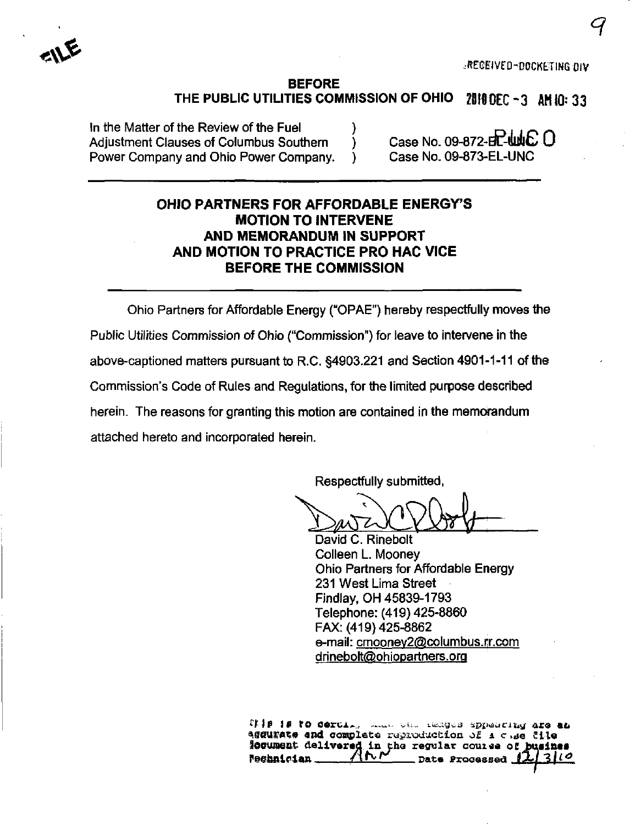..RECEIVED-DOCKETING DIV

 $\tilde{\mathcal{A}}$ 

## BEFORE THE PUBLIC UTILITIES COMMISSION OF OHIO  $281000C-3$  AM 10: 33

In the Matter of the Review of the Fuel  $\bigcup_{n=1}^{\infty}$  Case No. 09-872-EL-tubb  $\bigcirc$ Adjustment Clauses of Columbus Southern ) Case No. 09-872-H**T-WAC**<br>Power Company and Ohio Power Company. ) Case No. 09-873-EL-UNC Power Company and Ohio Power Company.

# OHIO PARTNERS FOR AFFORDABLE ENERGY'S MOTION TO INTERVENE AND MEMORANDUM IN SUPPORT AND MOTION TO PRACTICE PRO MAC VICE BEFORE THE COMMISSION

Ohio Partners for Affordable Energy ("OPAE") hereby respectfully moves the Public Utilities Commission of Ohio ("Commission") for leave to intervene in the above-captioned matters pursuant to R.C. §4903.221 and Section 4901-1-11 of the Commission's Code of Rules and Regulations, for the limited purpose described herein. The reasons for granting this motion are contained in the memorandum attached hereto and incorporated herein.

Respectfully submitted,

David C. Rinebolt Colleen L. Mooney Ohio Partners for Affondable Energy 231 West Lima Street Findlay, OH 45839-1793 Telephone: (419) 425-8860 FAX: (419)425-8862 e-mail: cmooney2@columbus.rr.com drinebolt@ohiopartners.org

ILIS IS to certify the complete region of a clientificate and complete regioning the client lesument delivered in the regular course of busines  $P$ e@bnician  $1 - \frac{1}{\sqrt{N}}$  Date Processed  $\frac{1}{N}$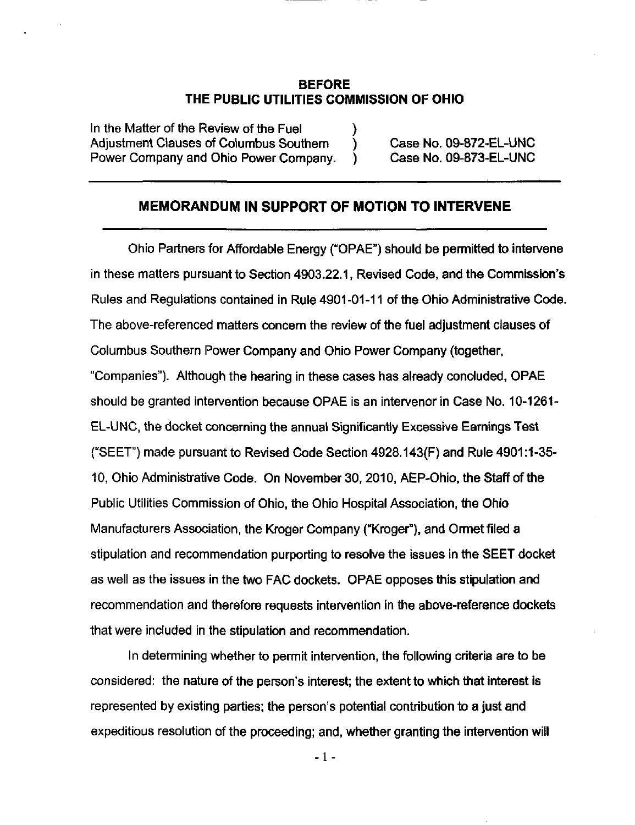#### BEFORE THE PUBLIC UTILITIES COMMISSION OF OHIO

In the Matter of the Review of the Fuel Adjustment Clauses of Columbus Southern (b) Case No. 09-872-EL-UNC Power Company and Ohio Power Company. ) Case No. 09-873-EL-UNC

#### MEMORANDUM IN SUPPORT OF MOTION TO INTERVENE

Ohio Partners for Affordable Energy ("OPAE") should be pemnitted to intervene in these matters pursuant to Section 4903.22.1, Revised Code, and the Commission's Rules and Regulations contained in Rule 4901-01-11 of the Ohio Administrative Code. The above-referenced matters concern the review of the fuel adjustment clauses of Columbus Southern Power Company and Ohio Power Company (together, "Companies"). Although the hearing in these cases has already concluded, OPAE should be granted intervention because OPAE is an intervener in Case No. 10-1261- EL-UNC, the docket concerning the annual Significantly Excessive Earnings Test ("SEET") made pursuant to Revised Code Section 4928.143(F) and Rule 4901:1-35- 10, Ohio Administrative Code. On November 30, 2010, AEP-Ohio. the Staff of the Public Utilities Commission of Ohio, the Ohio Hospital Association, the Ohio Manufacturers Association, the Kroger Company ("Kroger"), and Ormet filed a stipulation and recommendation purporting to resolve the issues in the SEET docket as well as the issues in the two FAC dockets. OPAE opposes this stipulation and recommendation and therefore requests intervention in the above-reference dockets that were included in the stipulation and recommendation.

In determining whether to permit intervention, the following criteria are to be considered: the nature of the person's interest; the extent to which that interest is represented by existing parties; the person's potential contribution to a just and expeditious resolution of the proceeding; and, whether granting the intervention will

- 1 -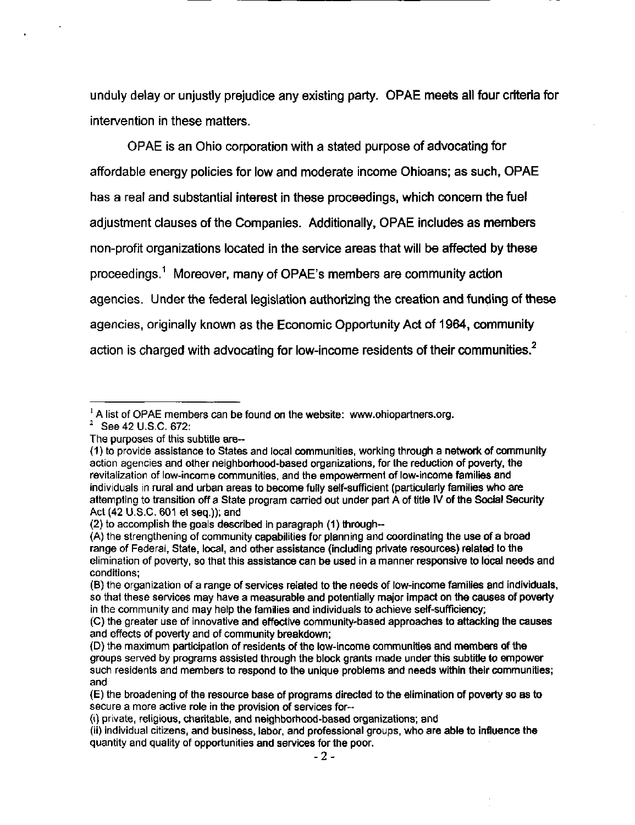unduly delay or unjustly prejudice any existing party. OPAE meets all four criteria for intervention in these matters.

OPAE is an Ohio corporation with a stated purpose of advocating for affordable energy policies for low and moderate income Ohioans; as such, OPAE has a real and substantial interest in these proceedings, which concern the fuel adjustment clauses of the Companies. Additionally, OPAE includes as members non-profit organizations located in the service areas that will be affected by these proceedings.^ Moreover, many of OPAE's members are community action agencies. Under the federal legislation authorizing the creation and funding of these agencies, originally known as the Economic Opportunity Act of 1964, community action is charged with advocating for low-income residents of their communities. $<sup>2</sup>$ </sup>

 $<sup>1</sup>$  A list of OPAE members can be found on the website: [www.ohiopartners.org.](http://www.ohiopartners.org)</sup>

 $^2$  See 42 U.S.C. 672:

The purposes of this subtitle are-

<sup>(1)</sup> to provide assistance to States and local communities, working through a network of community action agencies and other neighborhood-based organizations, for the reduction of poverty, the revitalization of low-income communities, and the empowerment of low-income families and individuals in rural and urban areas to become fully self-sufficient (particularly families who are attempting to transition off a State program carried out under part A of title IV of the Social Security Act (42 U.S.C. 601 et seq.)); and

<sup>(2)</sup> to accomplish the goals described in paragraph (1) through-

<sup>(</sup>A) the strengthening of community capabilities for planning and coordinating the use of a broad range of Federal, State, local, and other assistance (including private resources) related to the elimination of poverty, so that this assistance can be used in a manner responsive to local needs and conditions;

<sup>(</sup>B) the organization of a range of services related to the needs of low-income families and individuals, so that these services may have a measurable and potentially major impact on the causes of poverty in the community and may help the families and individuals to achieve self-sufficiency;

<sup>(</sup>C) the greater use of innovative and effective community-based approaches to attacking the causes and effects of poverty and of community breakdown;

<sup>(</sup>D) the maximum participation of residents of the low-income communities and members of the groups served by programs assisted through the block grants made under this subtitle to empower such residents and members to respond to the unique problems and needs within their communities; and

<sup>(</sup>E) the broadening of the resource base of programs directed to the elimination of poverty so as to secure a more active role in the provision of services for-

<sup>(</sup>i) private, religious, charitable, and neighborhood-based organizations; and

<sup>(</sup>ii) individual citizens, and business, labor, and professional groups, who are able to influence the quantity and quality of opportunities and services for the poor.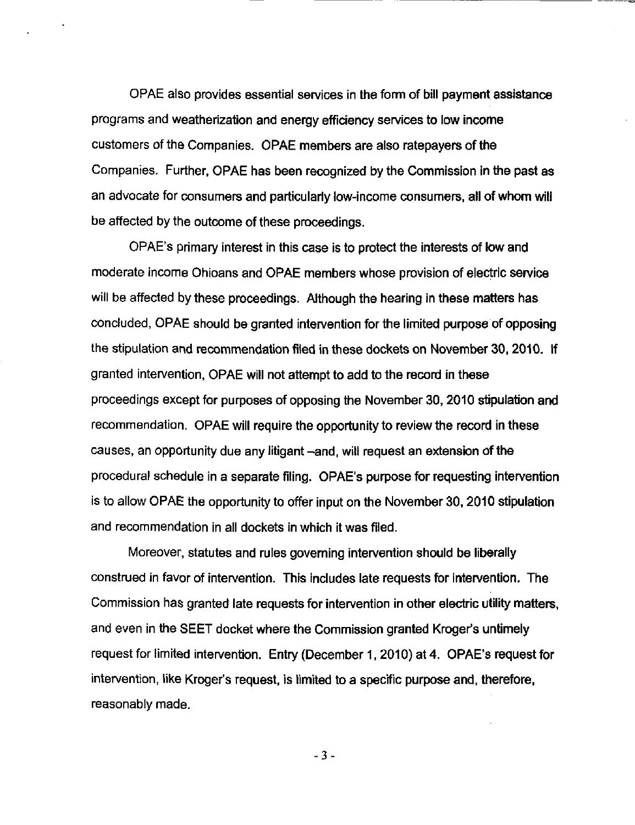OPAE also provides essential services in the form of bill payment assistance programs and weatherization and energy efficiency services to low income customers of the Companies. OPAE members are also ratepayers of the Companies. Further, OPAE has been recognized by the Commission in the past as an advocate for consumers and particularly low-income consumers, all of whom will be affected by the outcome of these proceedings.

OPAE's primary interest in this case is to protect the interests of low and moderate income Ohioans and OPAE members whose provision of electric service will be affected by these proceedings. Although the hearing in these matters has concluded, OPAE should be granted intervention for the limited purpose of opposing the stipulation and recommendation filed in these dockets on November 30, 2010. If granted intervention, OPAE will not attempt to add to the record in these proceedings except for purposes of opposing the November 30, 2010 stipulation and recommendation. OPAE will require the opportunity to review the record in these causes, an opportunity due any litigant -and, will request an extension of the procedural schedule in a separate filing. OPAE's purpose for requesting intervention is to allow OPAE the opportunity to offer input on the November 30, 2010 stipulation and recommendation in all dockets in which it was filed.

Moreover, statutes and rules governing intervention should be liberally construed in favor of intervention. This includes late requests for intervention. The Commission has granted late requests for intervention in other electric utility matters, and even in the SEET docket where the Commission granted Kroger's untimely request for limited intervention. Entry (December 1, 2010) at 4. OPAE's request for intervention, like Kroger's request, is limited to a specific purpose and, therefore, reasonably made.

3-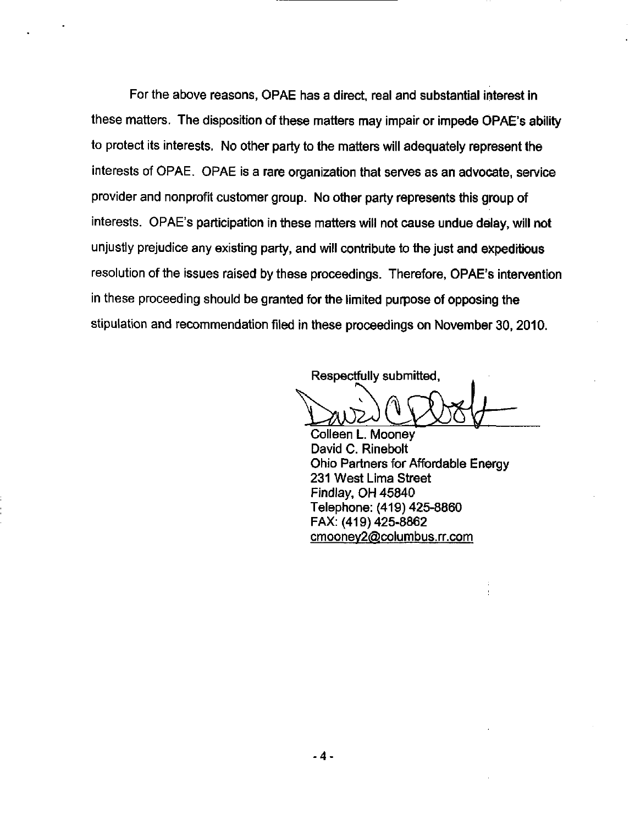For the above reasons, OPAE has a direct, real and substantial interest in these matters. The disposition of these matters may impair or impede OPAE's ability to protect its interests. No other party to the matters will adequately represent the interests of OPAE. OPAE is a rare organization that serves as an advocate, service provider and nonprofit customer group. No other party represents this group of interests. OPAE's participation in these matters will not cause undue delay, will not unjustly prejudice any existing party, and will contribute to the just and expeditious resolution of the issues raised by these proceedings. Therefore, OPAE's intervention in these proceeding should be granted for the limited purpose of opposing the stipulation and recommendation filed in these proceedings on November 30. 2010.

Respectfully submitted,

Colleen L. Mooney David C. Rinebolt Ohio Partners for Affordable Energy 231 West Lima Street Findlay, OH 45840 Telephone: (419) 425-8860 FAX: (419) 425-8862 cmooney2@columbus.rr.com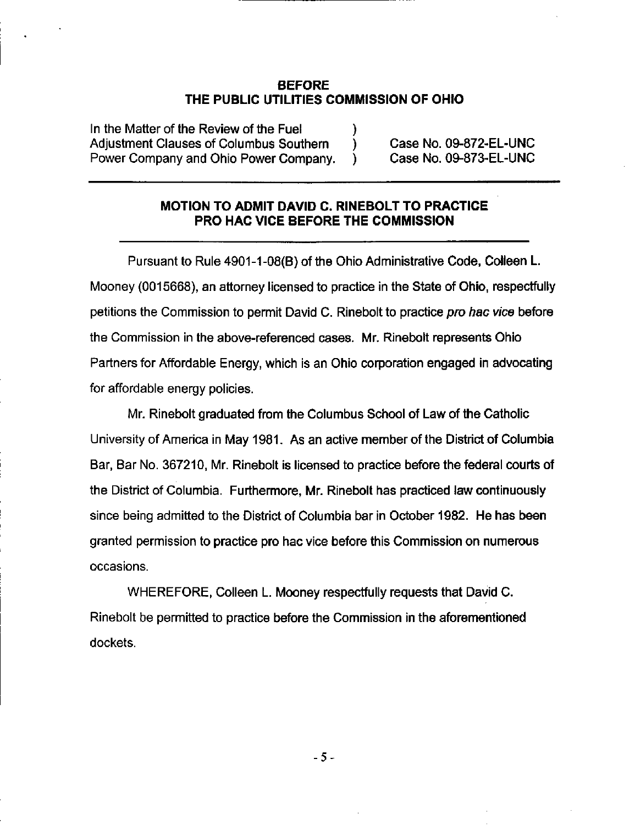#### BEFORE THE PUBLIC UTILITIES COMMISSION OF OHIO

In the Matter of the Review of the Fuel Adjustment Clauses of Columbus Southern (b) Case No. 09-872-EL-UNC Power Company and Ohio Power Company. ) Case No. 09-873-EL-UNC

### MOTION TO ADMIT DAVID C. RINEBOLT TO PRACTICE PRO HAG VICE BEFORE THE COMMISSION

Pursuant to Rule 4901-1-08(8) of the Ohio Administrative Code. Colleen L. Mooney (0015668), an attorney licensed to practice in the State of Ohio, respectfully petitions the Commission to permit David C. Rinebolt to practice pro hac vice before the Commission in the above-referenced cases. Mr. Rinebolt represents Ohio Partners for Affordable Energy, which is an Ohio corporation engaged in advocating for affordable energy policies.

Mr. Rinebolt graduated from the Columbus School of Law of the Catholic University of America in May 1981. As an active member of the District of Columbia Bar, Bar No. 367210. Mr. Rinebolt is licensed to practice before the federal courts of the District of Columbia. Furthermore. Mr. Rinebolt has practiced law continuously since being admitted to the District of Columbia bar in October 1982. He has been granted permission to practice pro hac vice before this Commission on numerous occasions.

WHEREFORE, Colleen L. Mooney respectfully requests that David C. Rinebolt be permitted to practice before the Commission in the aforementioned dockets.

5-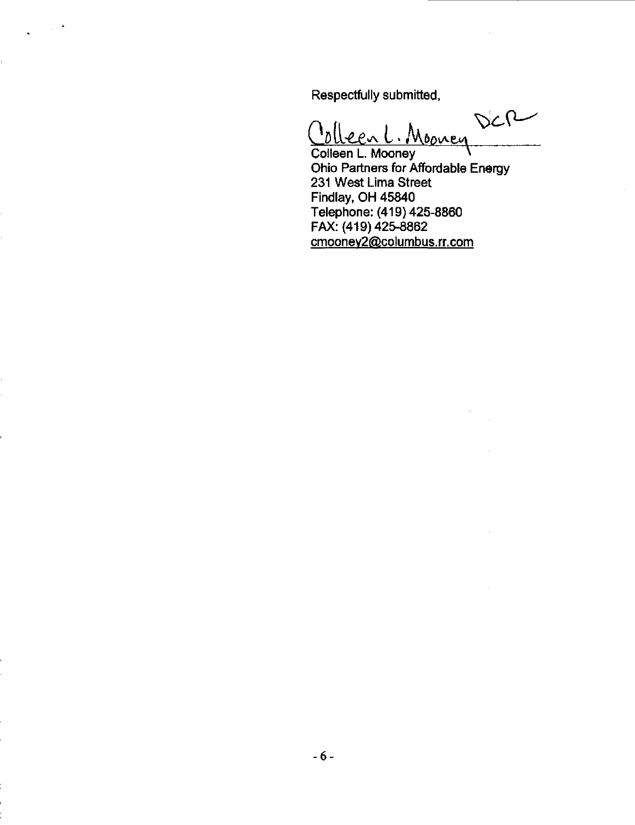Respectfully submitted,

DCR Jolleen L. Colleen L. Mooney

Ohio Partners for Affordable Energy 231 West Lima Street Findlay, OH 45840 Telephone: (419) 425-8860 FAX: (419) 425-8862 [cmoonev2@columbus.rr.com](mailto:cmoonev2@columbus.rr.com)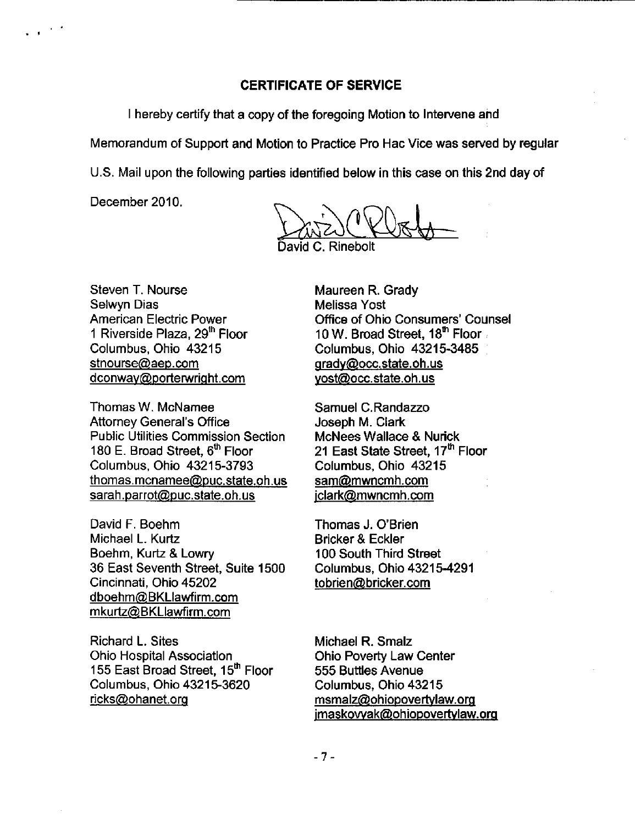#### CERTIFICATE OF SERVICE

I hereby certify that a copy of the foregoing Motion to Intervene and

Memorandum of Support and Motion to Practice Pro Hac Vice was served by regular

U.S. Mail upon the following parties identified below in this case on this 2nd day of

December 2010.

 $\Delta z$ . Cleb

David C. Rinebolt

Steven T. Nourse Selwyn Dias American Electric Power 1 Riverside Plaza, 29<sup>th</sup> Floor Columbus, Ohio 43215 [stnourse@aep.com](mailto:stnourse@aep.com)  [dconwav@portenwriaht.com](mailto:dconwav@portenwriaht.com) 

Thomas W. McNamee Attorney General's Office Public Utilities Commission Section 180 E. Broad Street, 6<sup>th</sup> Floor Columbus, Ohio 43215-3793 [thomas.mcnamee@puc.state.oh.us](mailto:thomas.mcnamee@puc.state.oh.us)  [sarah.parrot@puc.state.oh.us](mailto:sarah.parrot@puc.state.oh.us) 

David F. Boehm Michael L. Kurtz Boehm, Kuriz & Lowry 36 East Seventh Street, Suite 1500 Cincinnati, Ohio 45202 [dboehm@BKLIawfirm.com](mailto:dboehm@BKLIawfirm.com)  [mkurtz@BKLIawfirm.com](mailto:mkurtz@BKLIawfirm.com) 

Richard L. Sites Ohio Hospital Association 155 East Broad Street, 15<sup>th</sup> Floor Columbus, Ohio 43215-3620 [ricks@ohanet.orq](mailto:ricks@ohanet.orq)

Maureen R. Grady Melissa Yost Office of Ohio Consumers' Counsel 10 W. Broad Street, 18<sup>th</sup> Floor Columbus, Ohio 43215-3485 [qradv@occ.state.oh.us](mailto:qradv@occ.state.oh.us)  [vost@occ.state.oh.us](mailto:vost@occ.state.oh.us) 

Samuel C.Randazzo Joseph M. Clark McNees Wallace & Nurick 21 East State Street, 17<sup>th</sup> Floor Columbus, Ohio 43215 [sam@mwncmh.com](mailto:sam@mwncmh.com)  [iclark@mwncmh.com](mailto:iclark@mwncmh.com) 

Thomas J. O'Brien Bricker & Eckler 100 South Third Street Columbus, Ohio 43215-4291 [tobrien@bricker.com](mailto:tobrien@bricker.com) 

Michael R. Smalz Ohio Poverty Law Center 555 Buttles Avenue Columbus, Ohio 43215 [msmalz@ohiopovertvlaw.org](mailto:msmalz@ohiopovertvlaw.org)  [imaskowak@ohiopovertvlaw.org](mailto:imaskowak@ohiopovertvlaw.org) 

 $-7-$